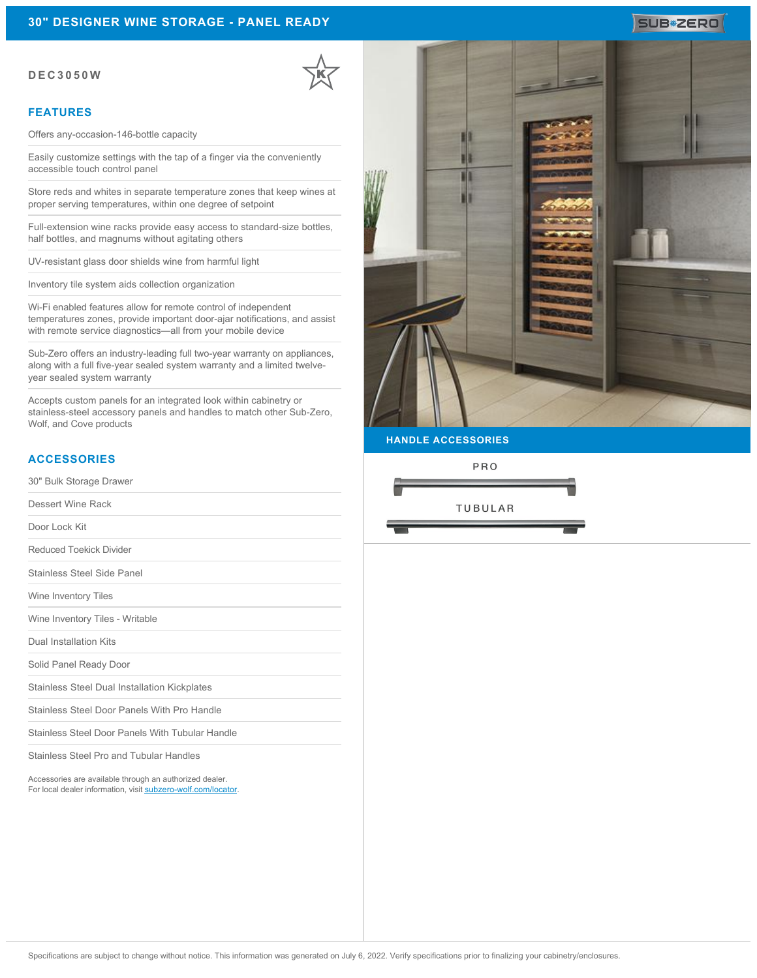#### **DEC3050W**

#### **FEATURES**

Offers any-occasion-146-bottle capacity

Easily customize settings with the tap of a finger via the conveniently accessible touch control panel

Store reds and whites in separate temperature zones that keep wines at proper serving temperatures, within one degree of setpoint

Full-extension wine racks provide easy access to standard-size bottles, half bottles, and magnums without agitating others

UV-resistant glass door shields wine from harmful light

Inventory tile system aids collection organization

Wi-Fi enabled features allow for remote control of independent temperatures zones, provide important door-ajar notifications, and assist with remote service diagnostics—all from your mobile device

Sub-Zero offers an industry-leading full two-year warranty on appliances, along with a full five-year sealed system warranty and a limited twelveyear sealed system warranty

Accepts custom panels for an integrated look within cabinetry or stainless-steel accessory panels and handles to match other Sub-Zero, Wolf, and Cove products

### **ACCESSORIES**

30" Bulk Storage Drawer

Dessert Wine Rack

Door Lock Kit

Reduced Toekick Divider

Stainless Steel Side Panel

Wine Inventory Tiles

Wine Inventory Tiles - Writable

Dual Installation Kits

Solid Panel Ready Door

Stainless Steel Dual Installation Kickplates

Stainless Steel Door Panels With Pro Handle

Stainless Steel Door Panels With Tubular Handle

Stainless Steel Pro and Tubular Handles

Accessories are available through an authorized dealer. For local dealer information, visit [subzero-wolf.com/locator.](http://www.subzero-wolf.com/locator)



SUB<sup>\*</sup>ZERO

**HANDLE ACCESSORIES**

PRO

**TUBULAR**